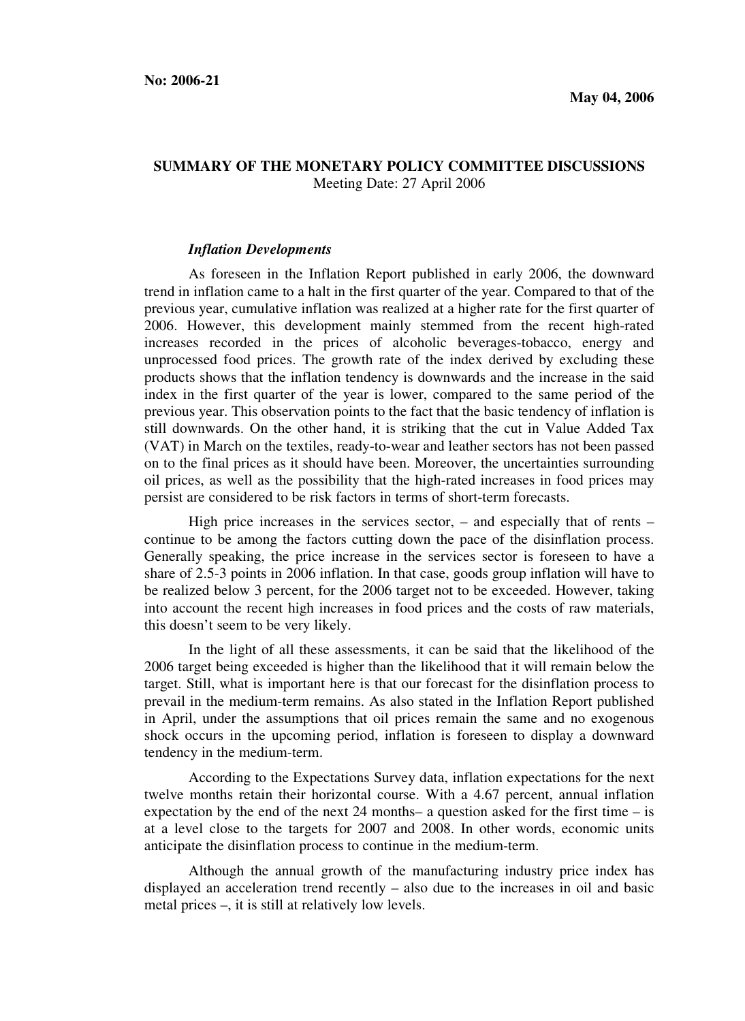## **SUMMARY OF THE MONETARY POLICY COMMITTEE DISCUSSIONS**  Meeting Date: 27 April 2006

## *Inflation Developments*

As foreseen in the Inflation Report published in early 2006, the downward trend in inflation came to a halt in the first quarter of the year. Compared to that of the previous year, cumulative inflation was realized at a higher rate for the first quarter of 2006. However, this development mainly stemmed from the recent high-rated increases recorded in the prices of alcoholic beverages-tobacco, energy and unprocessed food prices. The growth rate of the index derived by excluding these products shows that the inflation tendency is downwards and the increase in the said index in the first quarter of the year is lower, compared to the same period of the previous year. This observation points to the fact that the basic tendency of inflation is still downwards. On the other hand, it is striking that the cut in Value Added Tax (VAT) in March on the textiles, ready-to-wear and leather sectors has not been passed on to the final prices as it should have been. Moreover, the uncertainties surrounding oil prices, as well as the possibility that the high-rated increases in food prices may persist are considered to be risk factors in terms of short-term forecasts.

High price increases in the services sector, – and especially that of rents – continue to be among the factors cutting down the pace of the disinflation process. Generally speaking, the price increase in the services sector is foreseen to have a share of 2.5-3 points in 2006 inflation. In that case, goods group inflation will have to be realized below 3 percent, for the 2006 target not to be exceeded. However, taking into account the recent high increases in food prices and the costs of raw materials, this doesn't seem to be very likely.

In the light of all these assessments, it can be said that the likelihood of the 2006 target being exceeded is higher than the likelihood that it will remain below the target. Still, what is important here is that our forecast for the disinflation process to prevail in the medium-term remains. As also stated in the Inflation Report published in April, under the assumptions that oil prices remain the same and no exogenous shock occurs in the upcoming period, inflation is foreseen to display a downward tendency in the medium-term.

According to the Expectations Survey data, inflation expectations for the next twelve months retain their horizontal course. With a 4.67 percent, annual inflation expectation by the end of the next 24 months– a question asked for the first time – is at a level close to the targets for 2007 and 2008. In other words, economic units anticipate the disinflation process to continue in the medium-term.

Although the annual growth of the manufacturing industry price index has displayed an acceleration trend recently – also due to the increases in oil and basic metal prices –, it is still at relatively low levels.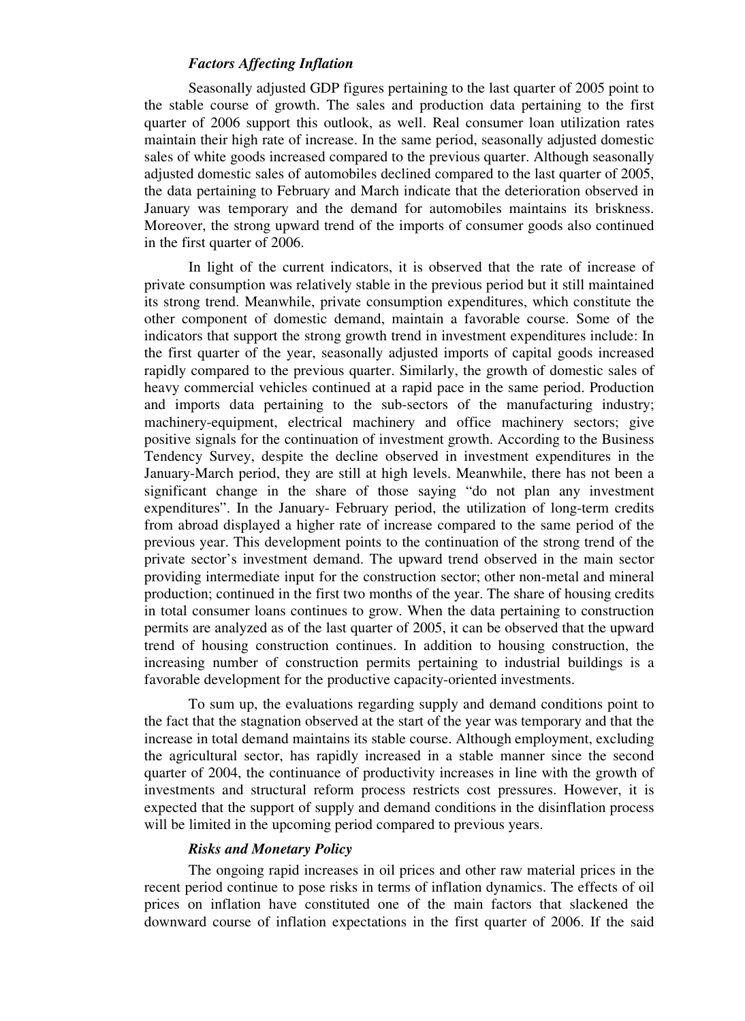## *Factors Affecting Inflation*

Seasonally adjusted GDP figures pertaining to the last quarter of 2005 point to the stable course of growth. The sales and production data pertaining to the first quarter of 2006 support this outlook, as well. Real consumer loan utilization rates maintain their high rate of increase. In the same period, seasonally adjusted domestic sales of white goods increased compared to the previous quarter. Although seasonally adjusted domestic sales of automobiles declined compared to the last quarter of 2005, the data pertaining to February and March indicate that the deterioration observed in January was temporary and the demand for automobiles maintains its briskness. Moreover, the strong upward trend of the imports of consumer goods also continued in the first quarter of 2006.

In light of the current indicators, it is observed that the rate of increase of private consumption was relatively stable in the previous period but it still maintained its strong trend. Meanwhile, private consumption expenditures, which constitute the other component of domestic demand, maintain a favorable course. Some of the indicators that support the strong growth trend in investment expenditures include: In the first quarter of the year, seasonally adjusted imports of capital goods increased rapidly compared to the previous quarter. Similarly, the growth of domestic sales of heavy commercial vehicles continued at a rapid pace in the same period. Production and imports data pertaining to the sub-sectors of the manufacturing industry; machinery-equipment, electrical machinery and office machinery sectors; give positive signals for the continuation of investment growth. According to the Business Tendency Survey, despite the decline observed in investment expenditures in the January-March period, they are still at high levels. Meanwhile, there has not been a significant change in the share of those saying "do not plan any investment expenditures". In the January- February period, the utilization of long-term credits from abroad displayed a higher rate of increase compared to the same period of the previous year. This development points to the continuation of the strong trend of the private sector's investment demand. The upward trend observed in the main sector providing intermediate input for the construction sector; other non-metal and mineral production; continued in the first two months of the year. The share of housing credits in total consumer loans continues to grow. When the data pertaining to construction permits are analyzed as of the last quarter of 2005, it can be observed that the upward trend of housing construction continues. In addition to housing construction, the increasing number of construction permits pertaining to industrial buildings is a favorable development for the productive capacity-oriented investments.

To sum up, the evaluations regarding supply and demand conditions point to the fact that the stagnation observed at the start of the year was temporary and that the increase in total demand maintains its stable course. Although employment, excluding the agricultural sector, has rapidly increased in a stable manner since the second quarter of 2004, the continuance of productivity increases in line with the growth of investments and structural reform process restricts cost pressures. However, it is expected that the support of supply and demand conditions in the disinflation process will be limited in the upcoming period compared to previous years.

## *Risks and Monetary Policy*

The ongoing rapid increases in oil prices and other raw material prices in the recent period continue to pose risks in terms of inflation dynamics. The effects of oil prices on inflation have constituted one of the main factors that slackened the downward course of inflation expectations in the first quarter of 2006. If the said